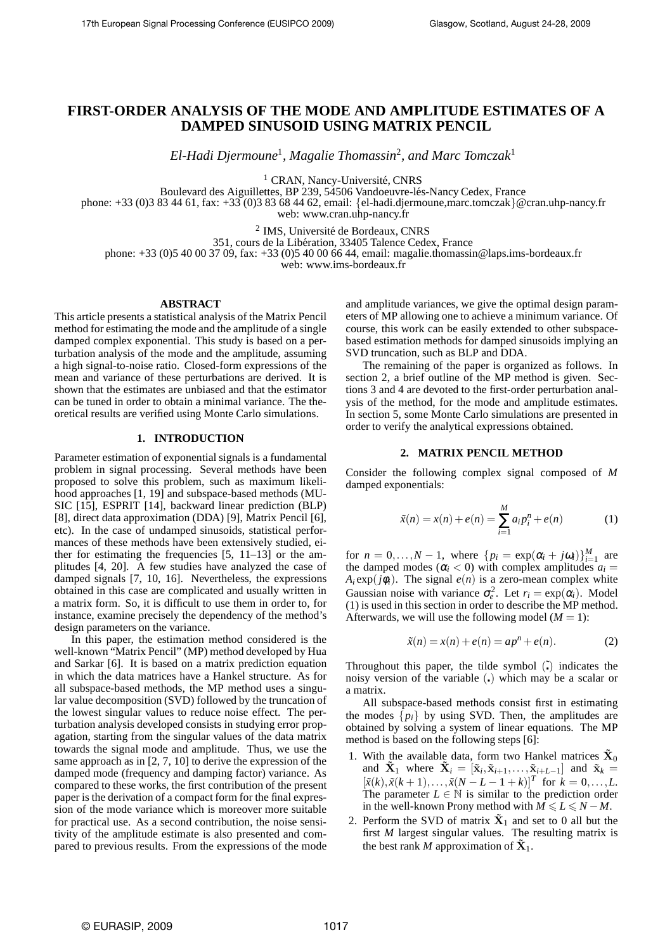# **FIRST-ORDER ANALYSIS OF THE MODE AND AMPLITUDE ESTIMATES OF A DAMPED SINUSOID USING MATRIX PENCIL**

*El-Hadi Djermoune*<sup>1</sup> *, Magalie Thomassin*<sup>2</sup> *, and Marc Tomczak*<sup>1</sup>

<sup>1</sup> CRAN, Nancy-Université, CNRS

Boulevard des Aiguillettes, BP 239, 54506 Vandoeuvre-lés-Nancy Cedex, France

phone: +33 (0)3 83 44 61, fax: +33 (0)3 83 68 44 62, email: {el-hadi.djermoune,marc.tomczak}@cran.uhp-nancy.fr web: www.cran.uhp-nancy.fr

<sup>2</sup> IMS, Université de Bordeaux, CNRS

351, cours de la Libération, 33405 Talence Cedex, France

phone: +33 (0)5 40 00 37 09, fax: +33 (0)5 40 00 66 44, email: magalie.thomassin@laps.ims-bordeaux.fr

web: www.ims-bordeaux.fr

## **ABSTRACT**

This article presents a statistical analysis of the Matrix Pencil method for estimating the mode and the amplitude of a single damped complex exponential. This study is based on a perturbation analysis of the mode and the amplitude, assuming a high signal-to-noise ratio. Closed-form expressions of the mean and variance of these perturbations are derived. It is shown that the estimates are unbiased and that the estimator can be tuned in order to obtain a minimal variance. The theoretical results are verified using Monte Carlo simulations.

# **1. INTRODUCTION**

Parameter estimation of exponential signals is a fundamental problem in signal processing. Several methods have been proposed to solve this problem, such as maximum likelihood approaches [1, 19] and subspace-based methods (MU-SIC [15], ESPRIT [14], backward linear prediction (BLP) [8], direct data approximation (DDA) [9], Matrix Pencil [6], etc). In the case of undamped sinusoids, statistical performances of these methods have been extensively studied, either for estimating the frequencies [5, 11–13] or the amplitudes [4, 20]. A few studies have analyzed the case of damped signals [7, 10, 16]. Nevertheless, the expressions obtained in this case are complicated and usually written in a matrix form. So, it is difficult to use them in order to, for instance, examine precisely the dependency of the method's design parameters on the variance.

In this paper, the estimation method considered is the well-known "Matrix Pencil" (MP) method developed by Hua and Sarkar [6]. It is based on a matrix prediction equation in which the data matrices have a Hankel structure. As for all subspace-based methods, the MP method uses a singular value decomposition (SVD) followed by the truncation of the lowest singular values to reduce noise effect. The perturbation analysis developed consists in studying error propagation, starting from the singular values of the data matrix towards the signal mode and amplitude. Thus, we use the same approach as in [2, 7, 10] to derive the expression of the damped mode (frequency and damping factor) variance. As compared to these works, the first contribution of the present paper is the derivation of a compact form for the final expression of the mode variance which is moreover more suitable for practical use. As a second contribution, the noise sensitivity of the amplitude estimate is also presented and compared to previous results. From the expressions of the mode

and amplitude variances, we give the optimal design parameters of MP allowing one to achieve a minimum variance. Of course, this work can be easily extended to other subspacebased estimation methods for damped sinusoids implying an SVD truncation, such as BLP and DDA.

The remaining of the paper is organized as follows. In section 2, a brief outline of the MP method is given. Sections 3 and 4 are devoted to the first-order perturbation analysis of the method, for the mode and amplitude estimates. In section 5, some Monte Carlo simulations are presented in order to verify the analytical expressions obtained.

## **2. MATRIX PENCIL METHOD**

Consider the following complex signal composed of *M* damped exponentials:

$$
\tilde{x}(n) = x(n) + e(n) = \sum_{i=1}^{M} a_i p_i^n + e(n)
$$
 (1)

for  $n = 0, ..., N - 1$ , where  $\{p_i = \exp(\alpha_i + j\omega_i)\}_{i=1}^M$  are the damped modes ( $\alpha$ <sup>*i*</sup> < 0) with complex amplitudes  $a$ <sup>*i*</sup> =  $A_i$ exp( $j\phi_i$ ). The signal  $e(n)$  is a zero-mean complex white Gaussian noise with variance  $\sigma_e^2$ . Let  $r_i = \exp(\alpha_i)$ . Model (1) is used in this section in order to describe the MP method. Afterwards, we will use the following model  $(M = 1)$ :

$$
\tilde{x}(n) = x(n) + e(n) = ap^n + e(n).
$$
 (2)

Throughout this paper, the tilde symbol  $\tilde{I}$  indicates the noisy version of the variable () which may be a scalar or a matrix.

All subspace-based methods consist first in estimating the modes  $\{p_i\}$  by using SVD. Then, the amplitudes are obtained by solving a system of linear equations. The MP method is based on the following steps [6]:

- 1. With the available data, form two Hankel matrices  $\tilde{\mathbf{X}}_0$ and  $\tilde{\mathbf{X}}_1$  where  $\tilde{\mathbf{X}}_i = [\tilde{\mathbf{x}}_i, \tilde{\mathbf{x}}_{i+1}, \dots, \tilde{\mathbf{x}}_{i+L-1}]$  and  $\tilde{\mathbf{x}}_k =$  $[\tilde{x}(k), \tilde{x}(k+1), \ldots, \tilde{x}(N-L-1+k)]^T$  for  $k = 0, \ldots, L$ . The parameter  $L \in \mathbb{N}$  is similar to the prediction order in the well-known Prony method with  $M \le L \le N - M$ .
- 2. Perform the SVD of matrix  $\tilde{\mathbf{X}}_1$  and set to 0 all but the first *M* largest singular values. The resulting matrix is the best rank *M* approximation of  $\tilde{\mathbf{X}}_1$ .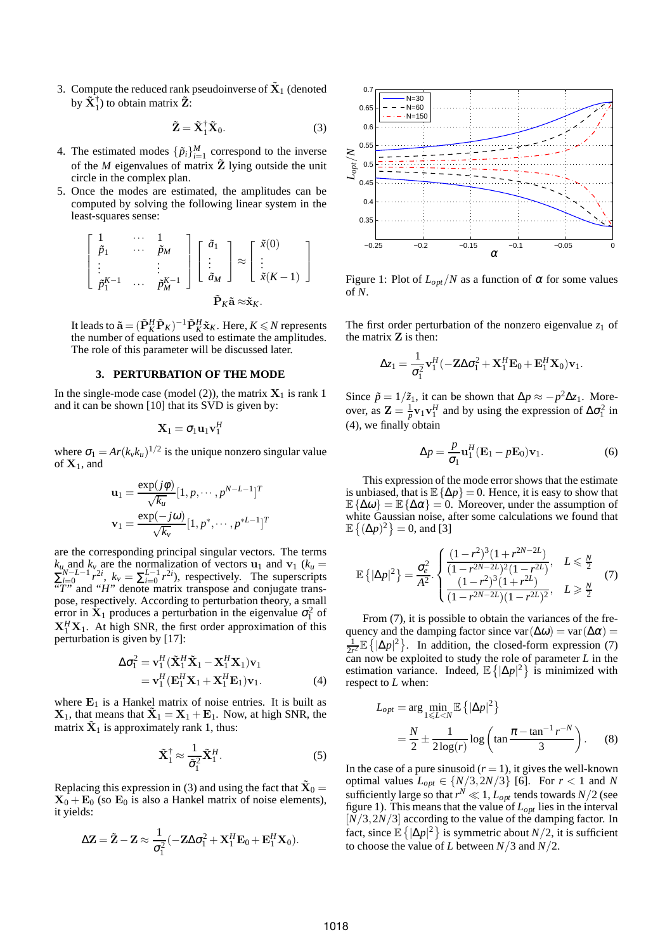3. Compute the reduced rank pseudoinverse of  $\tilde{\mathbf{X}}_1$  (denoted by  $\tilde{\mathbf{X}}_1^{\dagger}$ ) to obtain matrix  $\tilde{\mathbf{Z}}$ :

$$
\tilde{\mathbf{Z}} = \tilde{\mathbf{X}}_1^{\dagger} \tilde{\mathbf{X}}_0.
$$
 (3)

- 4. The estimated modes  $\{\tilde{p}_i\}_{i=1}^M$  correspond to the inverse of the *M* eigenvalues of matrix  $\tilde{Z}$  lying outside the unit circle in the complex plan.
- 5. Once the modes are estimated, the amplitudes can be computed by solving the following linear system in the least-squares sense:

$$
\begin{bmatrix} 1 & \cdots & 1 \\ \tilde{p}_1 & \cdots & \tilde{p}_M \\ \vdots & & \vdots \\ \tilde{p}_1^{K-1} & \cdots & \tilde{p}_M^{K-1} \end{bmatrix} \begin{bmatrix} \tilde{a}_1 \\ \vdots \\ \tilde{a}_M \end{bmatrix} \approx \begin{bmatrix} \tilde{x}(0) \\ \vdots \\ \tilde{x}(K-1) \end{bmatrix}
$$

$$
\tilde{\mathbf{P}}_K \tilde{\mathbf{a}} \approx \tilde{\mathbf{x}}_K.
$$

It leads to  $\tilde{\mathbf{a}} = (\tilde{\mathbf{P}}_K^H \tilde{\mathbf{P}}_K)^{-1} \tilde{\mathbf{P}}_K^H \tilde{\mathbf{x}}_K$ . Here,  $K \le N$  represents the number of equations used to estimate the amplitudes. The role of this parameter will be discussed later.

# **3. PERTURBATION OF THE MODE**

In the single-mode case (model (2)), the matrix  $X_1$  is rank 1 and it can be shown [10] that its SVD is given by:

$$
\mathbf{X}_1 = \sigma_1 \mathbf{u}_1 \mathbf{v}_1^H
$$

where  $\sigma_1 = Ar(k_v k_u)^{1/2}$  is the unique nonzero singular value of  $X_1$ , and

$$
\mathbf{u}_1 = \frac{\exp(j\phi)}{\sqrt{k_u}} [1, p, \cdots, p^{N-L-1}]^T
$$

$$
\mathbf{v}_1 = \frac{\exp(-j\omega)}{\sqrt{k_v}} [1, p^*, \cdots, p^{*L-1}]^T
$$

are the corresponding principal singular vectors. The terms  $k_u$  and  $k_v$  are the normalization of vectors  $u_1$  and  $v_1$  ( $k_u$  =  $\sum_{i=0}^{N-L-1} r^{2i}$ ,  $k_v = \sum_{i=0}^{L-1} r^{2i}$ , respectively. The superscripts "*T*" and "*H*" denote matrix transpose and conjugate transpose, respectively. According to perturbation theory, a small error in  $\mathbf{\hat{X}}_1$  produces a perturbation in the eigenvalue  $\sigma_1^2$  of  $X_1^H X_1$ . At high SNR, the first order approximation of this perturbation is given by [17]:

$$
\Delta \sigma_1^2 = \mathbf{v}_1^H (\tilde{\mathbf{X}}_1^H \tilde{\mathbf{X}}_1 - \mathbf{X}_1^H \mathbf{X}_1) \mathbf{v}_1 \n= \mathbf{v}_1^H (\mathbf{E}_1^H \mathbf{X}_1 + \mathbf{X}_1^H \mathbf{E}_1) \mathbf{v}_1.
$$
\n(4)

where  $E_1$  is a Hankel matrix of noise entries. It is built as  $X_1$ , that means that  $\tilde{X}_1 = X_1 + E_1$ . Now, at high SNR, the matrix  $\tilde{\mathbf{X}}_1$  is approximately rank 1, thus:

$$
\tilde{\mathbf{X}}_1^{\dagger} \approx \frac{1}{\tilde{\sigma}_1^2} \tilde{\mathbf{X}}_1^H.
$$
 (5)

Replacing this expression in (3) and using the fact that  $\tilde{\mathbf{X}}_0 =$  $X_0 + E_0$  (so  $E_0$  is also a Hankel matrix of noise elements), it yields:

$$
\Delta \mathbf{Z} = \tilde{\mathbf{Z}} - \mathbf{Z} \approx \frac{1}{\sigma_1^2} (-\mathbf{Z} \Delta \sigma_1^2 + \mathbf{X}_1^H \mathbf{E}_0 + \mathbf{E}_1^H \mathbf{X}_0).
$$



Figure 1: Plot of  $L_{opt}/N$  as a function of  $\alpha$  for some values of *N*.

The first order perturbation of the nonzero eigenvalue  $z_1$  of the matrix Z is then:

$$
\Delta z_1 = \frac{1}{\sigma_1^2} \mathbf{v}_1^H (-\mathbf{Z} \Delta \sigma_1^2 + \mathbf{X}_1^H \mathbf{E}_0 + \mathbf{E}_1^H \mathbf{X}_0) \mathbf{v}_1.
$$

Since  $\tilde{p} = 1/\tilde{z}_1$ , it can be shown that  $\Delta p \approx -p^2 \Delta z_1$ . Moreover, as  $\mathbf{Z} = \frac{1}{p} \mathbf{v}_1 \mathbf{v}_1^H$  and by using the expression of  $\Delta \sigma_1^2$  in  $(4)$ , we finally obtain

$$
\Delta p = \frac{p}{\sigma_1} \mathbf{u}_1^H (\mathbf{E}_1 - p \mathbf{E}_0) \mathbf{v}_1.
$$
 (6)

This expression of the mode error shows that the estimate is unbiased, that is  $\mathbb{E} \{\Delta p\} = 0$ . Hence, it is easy to show that  $\mathbb{E}\{\Delta \omega\} = \mathbb{E}\{\Delta \alpha\} = 0$ . Moreover, under the assumption of white Gaussian noise, after some calculations we found that  $\mathbb{E}\left\{(\Delta p)^2\right\} = 0$ , and [3]

$$
\mathbb{E}\left\{ |\Delta p|^2 \right\} = \frac{\sigma_e^2}{A^2} \cdot \begin{cases} \frac{(1-r^2)^3 (1+r^{2N-2L})}{(1-r^{2N-2L})^2 (1-r^{2L})}, & L \le \frac{N}{2} \\ \frac{(1-r^2)^3 (1+r^{2L})}{(1-r^{2N-2L}) (1-r^{2L})^2}, & L \ge \frac{N}{2} \end{cases} (7)
$$

From (7), it is possible to obtain the variances of the frequency and the damping factor since var $(\Delta \omega)$  = var $(\Delta \alpha)$  = 1  $\frac{1}{2r^2} \mathbb{E} \{ |\Delta p|^2 \}$ . In addition, the closed-form expression (7) can now be exploited to study the role of parameter  $L$  in the estimation variance. Indeed,  $\mathbb{E}\left\{ |\Delta p|^2 \right\}$  is minimized with respect to *L* when:

$$
L_{opt} = \arg\min_{1 \le L < N} \mathbb{E} \left\{ |\Delta p|^2 \right\}
$$
\n
$$
= \frac{N}{2} \pm \frac{1}{2 \log(r)} \log \left( \tan \frac{\pi - \tan^{-1} r^{-N}}{3} \right). \tag{8}
$$

In the case of a pure sinusoid  $(r = 1)$ , it gives the well-known optimal values  $L_{opt} \in \{N/3, 2N/3\}$  [6]. For  $r < 1$  and *N* sufficiently large so that  $r^N \ll 1$ ,  $L_{opt}$  tends towards  $N/2$  (see figure 1). This means that the value of *Lopt* lies in the interval [*N*/3,2*N*/3] according to the value of the damping factor. In fact, since  $\mathbb{E}\left\{ |\Delta p|^2 \right\}$  is symmetric about *N*/2, it is sufficient to choose the value of *L* between *N*/3 and *N*/2.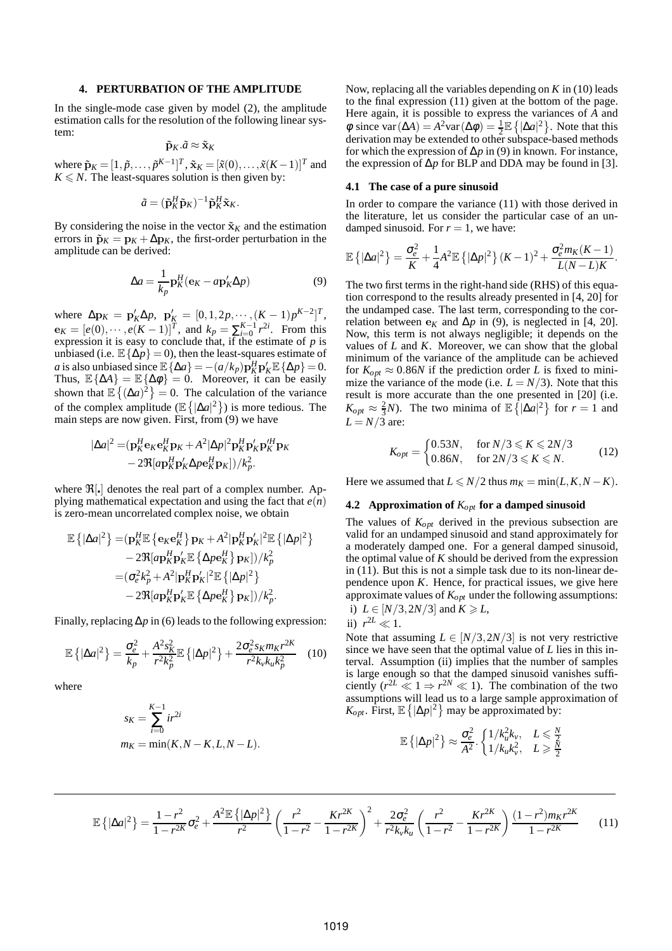## **4. PERTURBATION OF THE AMPLITUDE**

In the single-mode case given by model (2), the amplitude estimation calls for the resolution of the following linear system:

$$
\tilde{\mathbf{p}}_K.\tilde{a} \approx \tilde{\mathbf{x}}_K
$$

where  $\tilde{\mathbf{p}}_K = [1, \tilde{p}, \dots, \tilde{p}^{K-1}]^T$ ,  $\tilde{\mathbf{x}}_K = [\tilde{x}(0), \dots, \tilde{x}(K-1)]^T$  and  $K \leq N$ . The least-squares solution is then given by:

$$
\tilde{a} = (\tilde{\mathbf{p}}_K^H \tilde{\mathbf{p}}_K)^{-1} \tilde{\mathbf{p}}_K^H \tilde{\mathbf{x}}_K.
$$

By considering the noise in the vector  $\tilde{\mathbf{x}}_K$  and the estimation errors in  $\tilde{\mathbf{p}}_K = \mathbf{p}_K + \Delta \mathbf{p}_K$ , the first-order perturbation in the amplitude can be derived:

$$
\Delta a = \frac{1}{k_p} \mathbf{p}_K^H (\mathbf{e}_K - a \mathbf{p}_K' \Delta p)
$$
(9)

where  $\Delta p_K = p'_K \Delta p$ ,  $p'_K = [0, 1, 2p, \dots, (K-1)p^{K-2}]^T$ ,  $e_K = [e(0), \cdots, e(K-1)]^T$ , and  $k_p = \sum_{i=0}^{K-1} r^{2i}$ . From this expression it is easy to conclude that, if the estimate of *p* is unbiased (i.e.  $\mathbb{E}\{\Delta p\} = 0$ ), then the least-squares estimate of *a* is also unbiased since  $\mathbb{E} \{ \Delta a \} = -(a/k_p) \mathbf{p}_K^H \mathbf{p}_K' \mathbb{E} \{ \Delta p \} = 0.$ Thus,  $\mathbb{E} \{\Delta A\} = \mathbb{E} \{\Delta \phi\} = 0$ . Moreover, it can be easily shown that  $\mathbb{E}\left\{(\Delta a)^2\right\} = 0$ . The calculation of the variance of the complex amplitude  $(\mathbb{E}\left\{|\Delta a|^2\right\})$  is more tedious. The main steps are now given. First, from (9) we have

$$
|\Delta a|^2 = (\mathbf{p}_K^H \mathbf{e}_K \mathbf{e}_K^H \mathbf{p}_K + A^2 |\Delta p|^2 \mathbf{p}_K^H \mathbf{p}_K' \mathbf{p}_K^H \mathbf{p}_K - 2\Re[\mathbf{a}\mathbf{p}_K^H \mathbf{p}_K' \Delta p \mathbf{e}_K^H \mathbf{p}_K]/k_p^2.
$$

where  $\mathfrak{R}[\cdot]$  denotes the real part of a complex number. Applying mathematical expectation and using the fact that  $e(n)$ is zero-mean uncorrelated complex noise, we obtain

$$
\mathbb{E}\left\{|\Delta a|^2\right\} = (\mathbf{p}_K^H \mathbb{E}\left\{\mathbf{e}_K \mathbf{e}_K^H\right\} \mathbf{p}_K + A^2 |\mathbf{p}_K^H \mathbf{p}_K'|^2 \mathbb{E}\left\{|\Delta p|^2\right\}\n- 2\Re[a\mathbf{p}_K^H \mathbf{p}_K' \mathbb{E}\left\{\Delta p \mathbf{e}_K^H\right\} \mathbf{p}_K]/k_p^2\n= (\sigma_e^2 k_p^2 + A^2 |\mathbf{p}_K^H \mathbf{p}_K'|^2 \mathbb{E}\left\{|\Delta p|^2\right\}\n- 2\Re[a\mathbf{p}_K^H \mathbf{p}_K' \mathbb{E}\left\{\Delta p \mathbf{e}_K^H\right\} \mathbf{p}_K])/k_p^2.
$$

Finally, replacing ∆*p* in (6) leads to the following expression:

$$
\mathbb{E}\left\{ |\Delta a|^2 \right\} = \frac{\sigma_e^2}{k_p} + \frac{A^2 s_K^2}{r^2 k_p^2} \mathbb{E}\left\{ |\Delta p|^2 \right\} + \frac{2\sigma_e^2 s_K m_K r^{2K}}{r^2 k_v k_u k_p^2} \tag{10}
$$

where

$$
s_K = \sum_{i=0}^{K-1} ir^{2i}
$$
  

$$
m_K = \min(K, N - K, L, N - L).
$$

Now, replacing all the variables depending on *K* in (10) leads to the final expression (11) given at the bottom of the page. Here again, it is possible to express the variances of *A* and  $\phi$  since var ( $\Delta A$ ) =  $A^2$ var ( $\Delta \phi$ ) =  $\frac{1}{2}$  E { $|\Delta a|^2$  }. Note that this derivation may be extended to other subspace-based methods for which the expression of ∆*p* in (9) in known. For instance, the expression of  $\Delta p$  for BLP and DDA may be found in [3].

# **4.1 The case of a pure sinusoid**

In order to compare the variance (11) with those derived in the literature, let us consider the particular case of an undamped sinusoid. For  $r = 1$ , we have:

$$
\mathbb{E}\left\{|\Delta a|^2\right\} = \frac{\sigma_e^2}{K} + \frac{1}{4}A^2\mathbb{E}\left\{|\Delta p|^2\right\}(K-1)^2 + \frac{\sigma_e^2 m_K(K-1)}{L(N-L)K}.
$$

The two first terms in the right-hand side (RHS) of this equation correspond to the results already presented in [4, 20] for the undamped case. The last term, corresponding to the correlation between  $e_K$  and  $\Delta p$  in (9), is neglected in [4, 20]. Now, this term is not always negligible; it depends on the values of *L* and *K*. Moreover, we can show that the global minimum of the variance of the amplitude can be achieved for  $K_{opt} \approx 0.86N$  if the prediction order *L* is fixed to minimize the variance of the mode (i.e.  $L = N/3$ ). Note that this result is more accurate than the one presented in [20] (i.e.  $K_{opt} \approx \frac{2}{3}N$ ). The two minima of  $\mathbb{E}\left\{ |\Delta a|^2 \right\}$  for  $r = 1$  and  $L = N/\overline{3}$  are:

$$
K_{opt} = \begin{cases} 0.53N, & \text{for } N/3 \le K \le 2N/3\\ 0.86N, & \text{for } 2N/3 \le K \le N. \end{cases} \tag{12}
$$

Here we assumed that  $L \le N/2$  thus  $m_K = \min(L, K, N - K)$ .

# **4.2 Approximation of** *Kopt* **for a damped sinusoid**

The values of *Kopt* derived in the previous subsection are valid for an undamped sinusoid and stand approximately for a moderately damped one. For a general damped sinusoid, the optimal value of *K* should be derived from the expression in (11). But this is not a simple task due to its non-linear dependence upon *K*. Hence, for practical issues, we give here approximate values of *Kopt* under the following assumptions: i)  $L \in [N/3, 2N/3]$  and  $K \ge L$ ,

$$
ii) r^{2L} \ll 1.
$$

Note that assuming  $L \in [N/3, 2N/3]$  is not very restrictive since we have seen that the optimal value of *L* lies in this interval. Assumption (ii) implies that the number of samples is large enough so that the damped sinusoid vanishes sufficiently  $(r^{2L} \ll 1 \Rightarrow r^{2N} \ll 1)$ . The combination of the two assumptions will lead us to a large sample approximation of  $K_{opt}$ . First,  $\mathbb{E}\left\{ |\Delta p|^2 \right\}$  may be approximated by:

$$
\mathbb{E}\left\{ |\Delta p|^2 \right\} \approx \frac{\sigma_e^2}{A^2} \cdot \begin{cases} 1/k_u^2 k_v, & L \leq \frac{N}{2} \\ 1/k_u k_v^2, & L \geq \frac{N}{2} \end{cases}
$$

$$
\mathbb{E}\left\{|\Delta a|^2\right\} = \frac{1-r^2}{1-r^{2K}}\sigma_e^2 + \frac{A^2\mathbb{E}\left\{|\Delta p|^2\right\}}{r^2} \left(\frac{r^2}{1-r^2} - \frac{Kr^{2K}}{1-r^{2K}}\right)^2 + \frac{2\sigma_e^2}{r^2k_vk_u} \left(\frac{r^2}{1-r^2} - \frac{Kr^{2K}}{1-r^{2K}}\right) \frac{(1-r^2)m_Kr^{2K}}{1-r^{2K}}\tag{11}
$$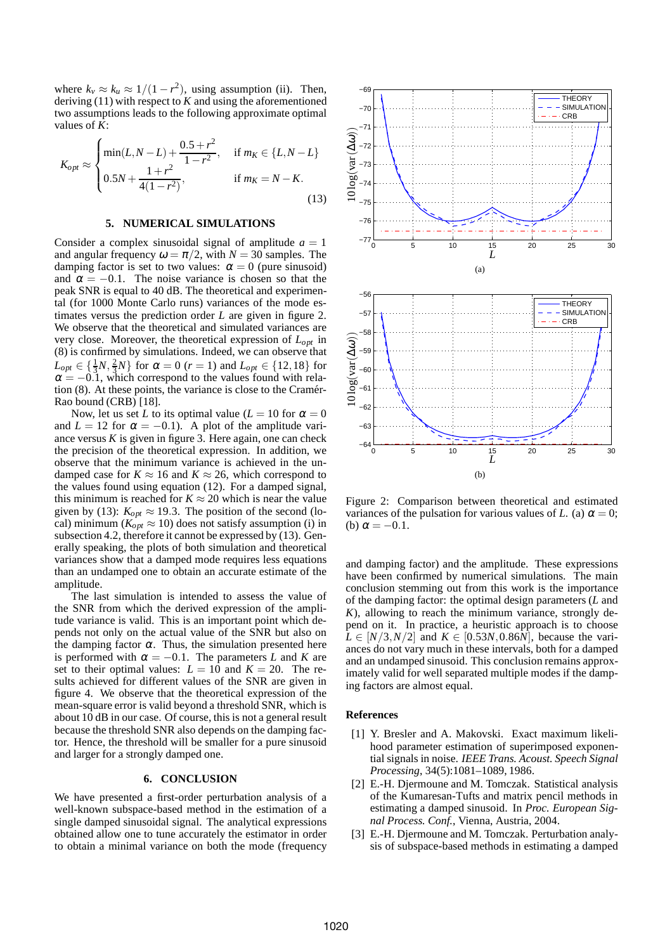where  $k_v \approx k_u \approx 1/(1 - r^2)$ , using assumption (ii). Then, deriving (11) with respect to *K* and using the aforementioned two assumptions leads to the following approximate optimal values of *K*:

$$
K_{opt} \approx \begin{cases} \min(L, N - L) + \frac{0.5 + r^2}{1 - r^2}, & \text{if } m_K \in \{L, N - L\} \\ 0.5N + \frac{1 + r^2}{4(1 - r^2)}, & \text{if } m_K = N - K. \end{cases}
$$
(13)

#### **5. NUMERICAL SIMULATIONS**

Consider a complex sinusoidal signal of amplitude  $a = 1$ and angular frequency  $\omega = \pi/2$ , with  $N = 30$  samples. The damping factor is set to two values:  $\alpha = 0$  (pure sinusoid) and  $\alpha = -0.1$ . The noise variance is chosen so that the peak SNR is equal to 40 dB. The theoretical and experimental (for 1000 Monte Carlo runs) variances of the mode estimates versus the prediction order *L* are given in figure 2. We observe that the theoretical and simulated variances are very close. Moreover, the theoretical expression of *Lopt* in (8) is confirmed by simulations. Indeed, we can observe that  $L_{opt} \in \left\{\frac{1}{3}N, \frac{2}{3}N\right\}$  for  $\alpha = 0$  (*r* = 1) and  $L_{opt} \in \{12, 18\}$  for  $\alpha = -0.1$ , which correspond to the values found with relation  $(8)$ . At these points, the variance is close to the Cramér-Rao bound (CRB) [18].

Now, let us set *L* to its optimal value ( $L = 10$  for  $\alpha = 0$ ) and  $L = 12$  for  $\alpha = -0.1$ ). A plot of the amplitude variance versus  $K$  is given in figure 3. Here again, one can check the precision of the theoretical expression. In addition, we observe that the minimum variance is achieved in the undamped case for  $K \approx 16$  and  $K \approx 26$ , which correspond to the values found using equation (12). For a damped signal, this minimum is reached for  $K \approx 20$  which is near the value given by (13):  $K_{opt} \approx 19.3$ . The position of the second (local) minimum ( $K_{opt} \approx 10$ ) does not satisfy assumption (i) in subsection 4.2, therefore it cannot be expressed by (13). Generally speaking, the plots of both simulation and theoretical variances show that a damped mode requires less equations than an undamped one to obtain an accurate estimate of the amplitude.

The last simulation is intended to assess the value of the SNR from which the derived expression of the amplitude variance is valid. This is an important point which depends not only on the actual value of the SNR but also on the damping factor  $\alpha$ . Thus, the simulation presented here is performed with  $\alpha = -0.1$ . The parameters *L* and *K* are set to their optimal values:  $L = 10$  and  $K = 20$ . The results achieved for different values of the SNR are given in figure 4. We observe that the theoretical expression of the mean-square error is valid beyond a threshold SNR, which is about 10 dB in our case. Of course, this is not a general result because the threshold SNR also depends on the damping factor. Hence, the threshold will be smaller for a pure sinusoid and larger for a strongly damped one.

# **6. CONCLUSION**

We have presented a first-order perturbation analysis of a well-known subspace-based method in the estimation of a single damped sinusoidal signal. The analytical expressions obtained allow one to tune accurately the estimator in order to obtain a minimal variance on both the mode (frequency



Figure 2: Comparison between theoretical and estimated variances of the pulsation for various values of *L*. (a)  $\alpha = 0$ ; (b)  $\alpha = -0.1$ .

and damping factor) and the amplitude. These expressions have been confirmed by numerical simulations. The main conclusion stemming out from this work is the importance of the damping factor: the optimal design parameters (*L* and *K*), allowing to reach the minimum variance, strongly depend on it. In practice, a heuristic approach is to choose  $L \in [N/3, N/2]$  and  $K \in [0.53N, 0.86N]$ , because the variances do not vary much in these intervals, both for a damped and an undamped sinusoid. This conclusion remains approximately valid for well separated multiple modes if the damping factors are almost equal.

#### **References**

- [1] Y. Bresler and A. Makovski. Exact maximum likelihood parameter estimation of superimposed exponential signals in noise. *IEEE Trans. Acoust. Speech Signal Processing*, 34(5):1081–1089, 1986.
- [2] E.-H. Djermoune and M. Tomczak. Statistical analysis of the Kumaresan-Tufts and matrix pencil methods in estimating a damped sinusoid. In *Proc. European Signal Process. Conf.*, Vienna, Austria, 2004.
- [3] E.-H. Djermoune and M. Tomczak. Perturbation analysis of subspace-based methods in estimating a damped